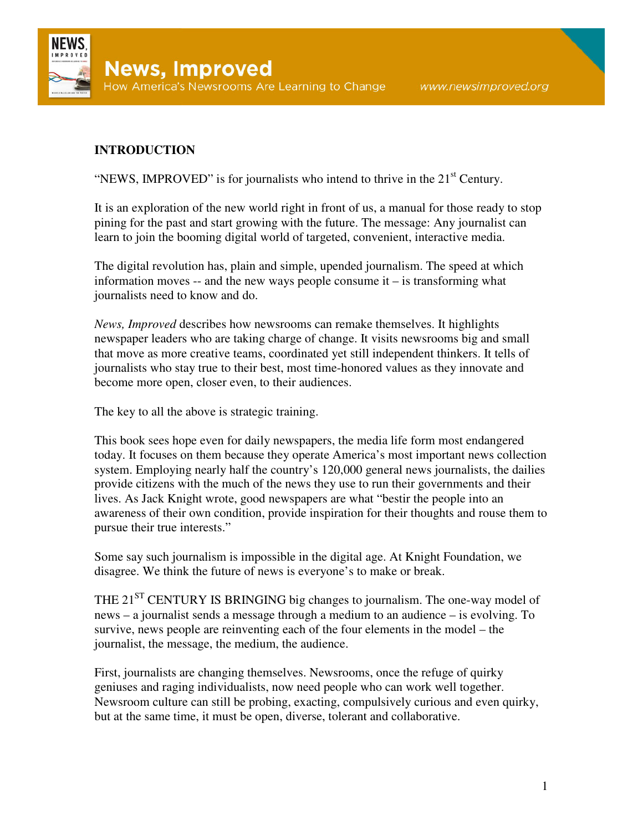

## **INTRODUCTION**

"NEWS, IMPROVED" is for journalists who intend to thrive in the  $21<sup>st</sup>$  Century.

It is an exploration of the new world right in front of us, a manual for those ready to stop pining for the past and start growing with the future. The message: Any journalist can learn to join the booming digital world of targeted, convenient, interactive media.

The digital revolution has, plain and simple, upended journalism. The speed at which information moves -- and the new ways people consume it – is transforming what journalists need to know and do.

*News, Improved* describes how newsrooms can remake themselves. It highlights newspaper leaders who are taking charge of change. It visits newsrooms big and small that move as more creative teams, coordinated yet still independent thinkers. It tells of journalists who stay true to their best, most time-honored values as they innovate and become more open, closer even, to their audiences.

The key to all the above is strategic training.

This book sees hope even for daily newspapers, the media life form most endangered today. It focuses on them because they operate America's most important news collection system. Employing nearly half the country's 120,000 general news journalists, the dailies provide citizens with the much of the news they use to run their governments and their lives. As Jack Knight wrote, good newspapers are what "bestir the people into an awareness of their own condition, provide inspiration for their thoughts and rouse them to pursue their true interests."

Some say such journalism is impossible in the digital age. At Knight Foundation, we disagree. We think the future of news is everyone's to make or break.

THE  $21<sup>ST</sup>$  CENTURY IS BRINGING big changes to journalism. The one-way model of news – a journalist sends a message through a medium to an audience – is evolving. To survive, news people are reinventing each of the four elements in the model – the journalist, the message, the medium, the audience.

First, journalists are changing themselves. Newsrooms, once the refuge of quirky geniuses and raging individualists, now need people who can work well together. Newsroom culture can still be probing, exacting, compulsively curious and even quirky, but at the same time, it must be open, diverse, tolerant and collaborative.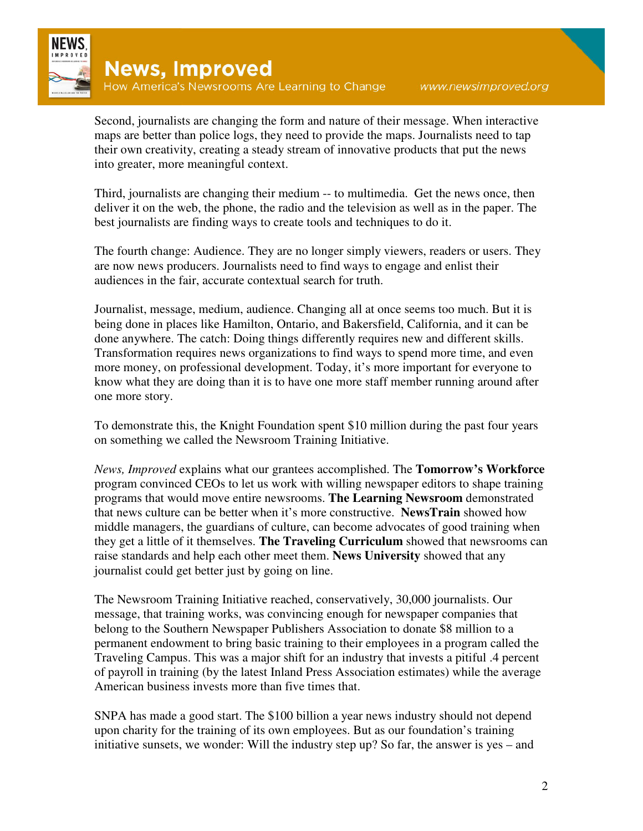

Second, journalists are changing the form and nature of their message. When interactive maps are better than police logs, they need to provide the maps. Journalists need to tap their own creativity, creating a steady stream of innovative products that put the news into greater, more meaningful context.

Third, journalists are changing their medium -- to multimedia. Get the news once, then deliver it on the web, the phone, the radio and the television as well as in the paper. The best journalists are finding ways to create tools and techniques to do it.

The fourth change: Audience. They are no longer simply viewers, readers or users. They are now news producers. Journalists need to find ways to engage and enlist their audiences in the fair, accurate contextual search for truth.

Journalist, message, medium, audience. Changing all at once seems too much. But it is being done in places like Hamilton, Ontario, and Bakersfield, California, and it can be done anywhere. The catch: Doing things differently requires new and different skills. Transformation requires news organizations to find ways to spend more time, and even more money, on professional development. Today, it's more important for everyone to know what they are doing than it is to have one more staff member running around after one more story.

To demonstrate this, the Knight Foundation spent \$10 million during the past four years on something we called the Newsroom Training Initiative.

*News, Improved* explains what our grantees accomplished. The **Tomorrow's Workforce** program convinced CEOs to let us work with willing newspaper editors to shape training programs that would move entire newsrooms. **The Learning Newsroom** demonstrated that news culture can be better when it's more constructive. **NewsTrain** showed how middle managers, the guardians of culture, can become advocates of good training when they get a little of it themselves. **The Traveling Curriculum** showed that newsrooms can raise standards and help each other meet them. **News University** showed that any journalist could get better just by going on line.

The Newsroom Training Initiative reached, conservatively, 30,000 journalists. Our message, that training works, was convincing enough for newspaper companies that belong to the Southern Newspaper Publishers Association to donate \$8 million to a permanent endowment to bring basic training to their employees in a program called the Traveling Campus. This was a major shift for an industry that invests a pitiful .4 percent of payroll in training (by the latest Inland Press Association estimates) while the average American business invests more than five times that.

SNPA has made a good start. The \$100 billion a year news industry should not depend upon charity for the training of its own employees. But as our foundation's training initiative sunsets, we wonder: Will the industry step up? So far, the answer is yes – and